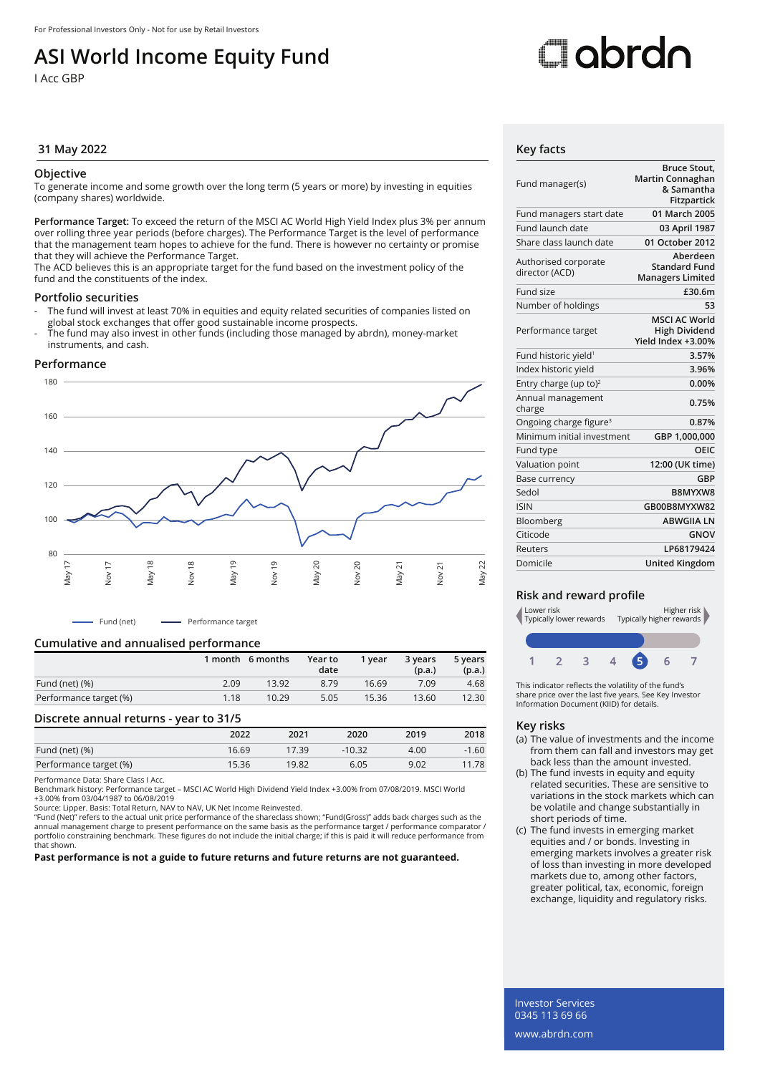## **ASI World Income Equity Fund**

I Acc GBP

# Oobrdo

#### **31 May 2022 Key facts**

#### **Objective**

To generate income and some growth over the long term (5 years or more) by investing in equities (company shares) worldwide.

**Performance Target:** To exceed the return of the MSCI AC World High Yield Index plus 3% per annum over rolling three year periods (before charges). The Performance Target is the level of performance that the management team hopes to achieve for the fund. There is however no certainty or promise that they will achieve the Performance Target.

The ACD believes this is an appropriate target for the fund based on the investment policy of the fund and the constituents of the index.

#### **Portfolio securities**

- The fund will invest at least 70% in equities and equity related securities of companies listed on global stock exchanges that offer good sustainable income prospects.
- The fund may also invest in other funds (including those managed by abrdn), money-market instruments, and cash.

#### **Performance**



- Fund (net) ----- Performance target

#### **Cumulative and annualised performance**

|                        |      | 1 month 6 months | Year to<br>date | 1 vear | 3 years<br>(p.a.) | 5 years<br>(p.a.) |
|------------------------|------|------------------|-----------------|--------|-------------------|-------------------|
| Fund (net) (%)         | 2.09 | 13.92            | 8.79            | 16.69  | 7.09              | 4.68              |
| Performance target (%) | 1.18 | 10.29            | 5.05            | 15.36  | 13.60             | 12.30             |

#### **Discrete annual returns - year to 31/5**

|                        | 2022  | 2021  | 2020     | 2019 | 2018    |
|------------------------|-------|-------|----------|------|---------|
| Fund (net) (%)         | 16.69 | 17.39 | $-10.32$ | 4.00 | $-1.60$ |
| Performance target (%) | 15.36 | 19.82 | 6.05     | 9.02 | 11.78   |

Performance Data: Share Class I Acc.

Benchmark history: Performance target – MSCI AC World High Dividend Yield Index +3.00% from 07/08/2019. MSCI World +3.00% from 03/04/1987 to 06/08/2019

Source: Lipper. Basis: Total Return, NAV to NAV, UK Net Income Reinvested.

"Fund (Net)" refers to the actual unit price performance of the shareclass shown; "Fund(Gross)" adds back charges such as the<br>annual management charge to present performance on the same basis as the performance target / pe portfolio constraining benchmark. These figures do not include the initial charge; if this is paid it will reduce performance from that shown.

**Past performance is not a guide to future returns and future returns are not guaranteed.**

| Fund manager(s)                        | <b>Bruce Stout,</b><br>Martin Connaghan<br>& Samantha<br><b>Fitzpartick</b> |
|----------------------------------------|-----------------------------------------------------------------------------|
| Fund managers start date               | 01 March 2005                                                               |
| Fund launch date                       | 03 April 1987                                                               |
| Share class launch date                | 01 October 2012                                                             |
| Authorised corporate<br>director (ACD) | Aberdeen<br><b>Standard Fund</b><br><b>Managers Limited</b>                 |
| Fund size                              | £30.6m                                                                      |
| Number of holdings                     | 53                                                                          |
| Performance target                     | <b>MSCI AC World</b><br><b>High Dividend</b><br>Yield Index +3.00%          |
| Fund historic yield <sup>1</sup>       | 3.57%                                                                       |
| Index historic yield                   | 3.96%                                                                       |
| Entry charge (up to) <sup>2</sup>      | 0.00%                                                                       |
| Annual management<br>charge            | 0.75%                                                                       |
| Ongoing charge figure <sup>3</sup>     | 0.87%                                                                       |
| Minimum initial investment             | GBP 1,000,000                                                               |
| Fund type                              | OEIC                                                                        |
| Valuation point                        | 12:00 (UK time)                                                             |
| <b>Base currency</b>                   | GBP                                                                         |
| Sedol                                  | B8MYXW8                                                                     |
| <b>ISIN</b>                            | GB00B8MYXW82                                                                |
| Bloomberg                              | <b>ABWGIIA LN</b>                                                           |
| Citicode                               | GNOV                                                                        |
| Reuters                                | I P68179424                                                                 |
| Domicile                               | United Kingdom                                                              |

#### **Risk and reward profile**



This indicator reflects the volatility of the fund's share price over the last five years. See Key Investor Information Document (KIID) for details.

#### **Key risks**

- (a) The value of investments and the income from them can fall and investors may get back less than the amount invested.
- (b) The fund invests in equity and equity related securities. These are sensitive to variations in the stock markets which can be volatile and change substantially in short periods of time.
- (c) The fund invests in emerging market equities and / or bonds. Investing in emerging markets involves a greater risk of loss than investing in more developed markets due to, among other factors, greater political, tax, economic, foreign exchange, liquidity and regulatory risks.

Investor Services 0345 113 69 66 www.abrdn.com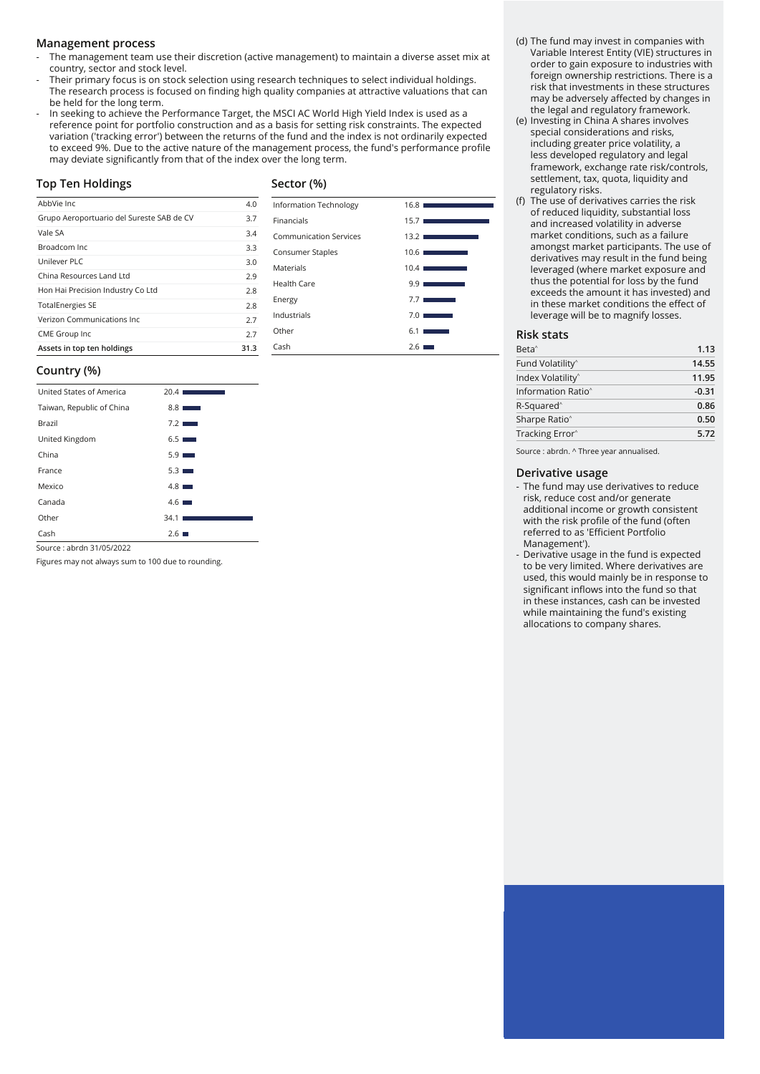#### **Management process**

- The management team use their discretion (active management) to maintain a diverse asset mix at country, sector and stock level.
- Their primary focus is on stock selection using research techniques to select individual holdings. The research process is focused on finding high quality companies at attractive valuations that can be held for the long term.
- In seeking to achieve the Performance Target, the MSCI AC World High Yield Index is used as a reference point for portfolio construction and as a basis for setting risk constraints. The expected variation ('tracking error') between the returns of the fund and the index is not ordinarily expected to exceed 9%. Due to the active nature of the management process, the fund's performance profile may deviate significantly from that of the index over the long term.

#### **Top Ten Holdings**

### **Sector (%)**

Information Technology 16.8 Financials 15.7 Communication Services 13.2 Consumer Staples 10.6 Materials 10.4 Health Care 9.9 Energy 7.7 Industrials 7.0 Other 6.1 Cash 2.6

| AbbVie Inc.                               | 4.0  |
|-------------------------------------------|------|
| Grupo Aeroportuario del Sureste SAB de CV | 3.7  |
| Vale SA                                   | 3.4  |
| Broadcom Inc.                             | 3.3  |
| Unilever PLC                              | 3.0  |
| China Resources Land Ltd                  | 2.9  |
| Hon Hai Precision Industry Co Ltd         | 2.8  |
| <b>TotalEnergies SE</b>                   | 2.8  |
| Verizon Communications Inc.               | 2.7  |
| CME Group Inc                             | 2.7  |
| Assets in top ten holdings                | 31.3 |

#### **Country (%)**

| United States of America  | 20.41<br><b>STATISTICS</b> |
|---------------------------|----------------------------|
| Taiwan, Republic of China | $8.8$ $\blacksquare$       |
| Brazil                    | 7.2                        |
| United Kingdom            | $6.5$ $\Box$               |
| China                     | $5.9$ $\Box$               |
| France                    | $5.3$ $\blacksquare$       |
| Mexico                    | $4.8$ $\blacksquare$       |
| Canada                    | $4.6$ $\blacksquare$       |
| Other                     | 34.1                       |
| Cash                      | 2.61                       |

Source : abrdn 31/05/2022

Figures may not always sum to 100 due to rounding.

- (d) The fund may invest in companies with Variable Interest Entity (VIE) structures in order to gain exposure to industries with foreign ownership restrictions. There is a risk that investments in these structures may be adversely affected by changes in the legal and regulatory framework.
- (e) Investing in China A shares involves special considerations and risks, including greater price volatility, a less developed regulatory and legal framework, exchange rate risk/controls, settlement, tax, quota, liquidity and regulatory risks.
- (f) The use of derivatives carries the risk of reduced liquidity, substantial loss and increased volatility in adverse market conditions, such as a failure amongst market participants. The use of derivatives may result in the fund being leveraged (where market exposure and thus the potential for loss by the fund exceeds the amount it has invested) and in these market conditions the effect of leverage will be to magnify losses.

#### **Risk stats**

| Tracking Error <sup>^</sup>    | 5.72    |
|--------------------------------|---------|
| Sharpe Ratio <sup>^</sup>      | 0.50    |
| R-Squared <sup>^</sup>         | 0.86    |
| Information Ratio <sup>^</sup> | $-0.31$ |
| Index Volatility <sup>^</sup>  | 11.95   |
| Fund Volatility <sup>^</sup>   | 14.55   |
| Beta <sup>^</sup>              | 1.13    |

Source : abrdn. ^ Three year annualised.

#### **Derivative usage**

- The fund may use derivatives to reduce risk, reduce cost and/or generate additional income or growth consistent with the risk profile of the fund (often referred to as 'Efficient Portfolio Management').
- Derivative usage in the fund is expected to be very limited. Where derivatives are used, this would mainly be in response to significant inflows into the fund so that in these instances, cash can be invested while maintaining the fund's existing allocations to company shares.